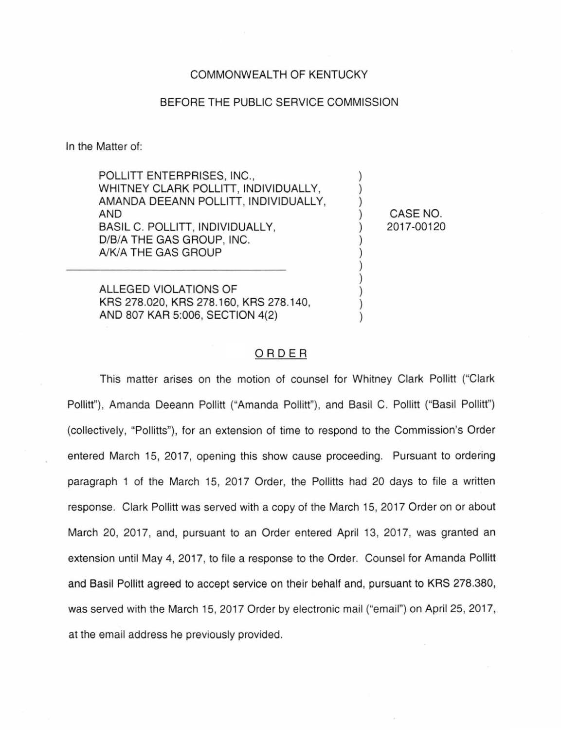## COMMONWEALTH OF KENTUCKY

## BEFORE THE PUBLIC SERVICE COMMISSION

In the Matter of:

POLLITT ENTERPRISES, INC., WHITNEY CLARK POLLITT, INDIVIDUALLY, AMANDA DEEANN POLLITT, INDIVIDUALLY, AND BASIL C. POLLITT, INDIVIDUALLY, D/B/A THE GAS GROUP, INC. A/KIA THE GAS GROUP

ALLEGED VIOLATIONS OF KRS 278.020, KRS 278.160, KRS 278.140, AND 807 KAR 5:006, SECTION 4(2)

CASE NO. 2017-00120

) ) ) ) ) ) ) ) ) ) ) )

## ORDER

This matter arises on the motion of counsel for Whitney Clark Pollitt ("Clark Pollitt"), Amanda Deeann Pollitt ("Amanda Pollitt"), and Basil C. Pollitt ("Basil Pollitt") (collectively, "Pollitts"), for an extension of time to respond to the Commission's Order entered March 15, 2017, opening this show cause proceeding. Pursuant to ordering paragraph 1 of the March 15, 2017 Order, the Pollitts had 20 days to file a written response. Clark Pollitt was served with a copy of the March 15, 2017 Order on or about March 20, 2017, and, pursuant to an Order entered April 13, 2017, was granted an extension until May 4, 2017, to file a response to the Order. Counsel for Amanda Pollitt and Basil Pollitt agreed to accept service on their behalf and, pursuant to KRS 278.380, was served with the March 15, 2017 Order by electronic mail ("email") on April 25, 2017, at the email address he previously provided.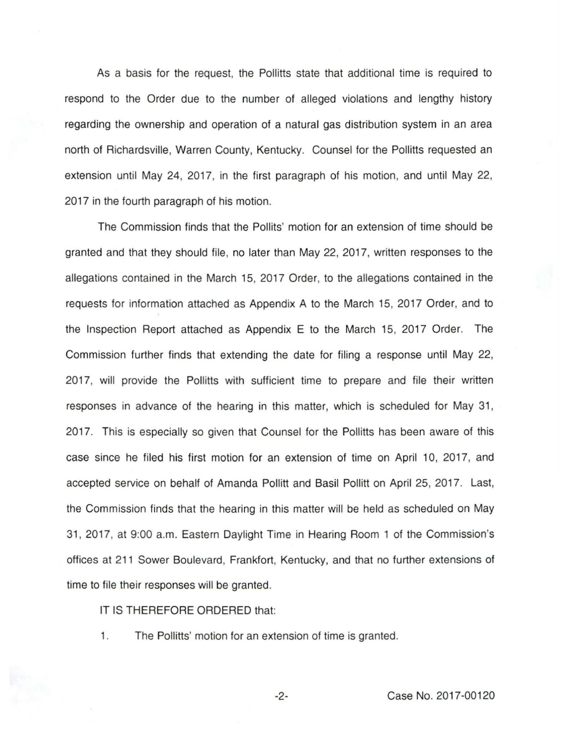As a basis for the request, the Pollitts state that additional time is required to respond to the Order due to the number of alleged violations and lengthy history regarding the ownership and operation of a natural gas distribution system in an area north of Richardsville, Warren County, Kentucky. Counsel for the Pollitts requested an extension until May 24, 2017, in the first paragraph of his motion, and until May 22, 2017 in the fourth paragraph of his motion.

The Commission finds that the Pollits' motion for an extension of time should be granted and that they should file, no later than May 22, 2017, written responses to the allegations contained in the March 15, 2017 Order, to the allegations contained in the requests for information attached as Appendix A to the March 15, 2017 Order, and to the Inspection Report attached as Appendix E to the March 15, 2017 Order. The Commission further finds that extending the date for filing a response until May 22, 2017, will provide the Pollitts with sufficient time to prepare and file their written responses in advance of the hearing in this matter, which is scheduled for May 31, 2017. This is especially so given that Counsel for the Pollitts has been aware of this case since he filed his first motion for an extension of time on April 10, 2017, and accepted service on behalf of Amanda Pollitt and Basil Pollitt on April 25, 2017. Last, the Commission finds that the hearing in this matter will be held as scheduled on May 31, 2017, at 9:00 a.m. Eastern Daylight Time in Hearing Room 1 of the Commission's offices at 211 Sower Boulevard, Frankfort, Kentucky, and that no further extensions of time to file their responses will be granted.

## IT IS THEREFORE ORDERED that:

1. The Pollitts' motion for an extension of time is granted.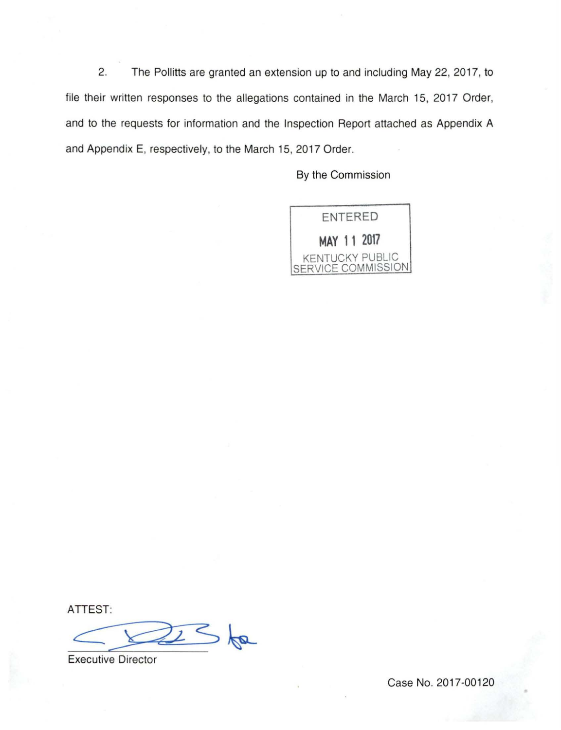2. The Pollitts are granted an extension up to and including May 22, 2017, to file their written responses to the allegations contained in the March 15, 2017 Order, and to the requests for information and the Inspection Report attached as Appendix A and Appendix E, respectively, to the March 15, 2017 Order.

By the Commission



ATTEST:

 $256$ 

**Executive Director** 

Case No. 2017-00120